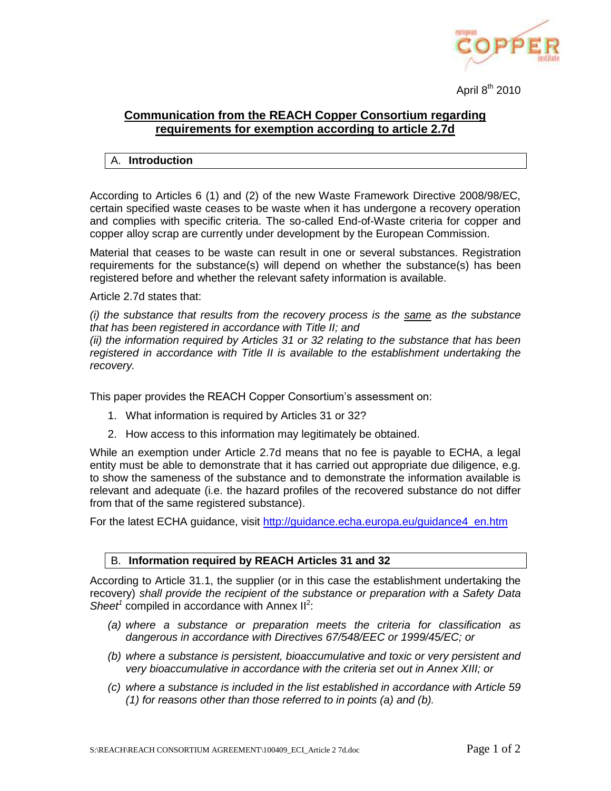

April 8<sup>th</sup> 2010

## **Communication from the REACH Copper Consortium regarding requirements for exemption according to article 2.7d**

## A. **Introduction**

According to Articles 6 (1) and (2) of the new Waste Framework Directive 2008/98/EC, certain specified waste ceases to be waste when it has undergone a recovery operation and complies with specific criteria. The so-called End-of-Waste criteria for copper and copper alloy scrap are currently under development by the European Commission.

Material that ceases to be waste can result in one or several substances. Registration requirements for the substance(s) will depend on whether the substance(s) has been registered before and whether the relevant safety information is available.

Article 2.7d states that:

*(i) the substance that results from the recovery process is the same as the substance that has been registered in accordance with Title II; and*

*(ii) the information required by Articles 31 or 32 relating to the substance that has been registered in accordance with Title II is available to the establishment undertaking the recovery.*

This paper provides the REACH Copper Consortium's assessment on:

- 1. What information is required by Articles 31 or 32?
- 2. How access to this information may legitimately be obtained.

While an exemption under Article 2.7d means that no fee is payable to ECHA, a legal entity must be able to demonstrate that it has carried out appropriate due diligence, e.g. to show the sameness of the substance and to demonstrate the information available is relevant and adequate (i.e. the hazard profiles of the recovered substance do not differ from that of the same registered substance).

For the latest ECHA guidance, visit http://guidance.echa.europa.eu/quidance4\_en.htm

## B. **Information required by REACH Articles 31 and 32**

According to Article 31.1, the supplier (or in this case the establishment undertaking the recovery) *shall provide the recipient of the substance or preparation with a Safety Data*  Sheet<sup>1</sup> compiled in accordance with Annex  $II^2$ :

- *(a) where a substance or preparation meets the criteria for classification as dangerous in accordance with Directives 67/548/EEC or 1999/45/EC; or*
- *(b) where a substance is persistent, bioaccumulative and toxic or very persistent and very bioaccumulative in accordance with the criteria set out in Annex XIII; or*
- *(c) where a substance is included in the list established in accordance with Article 59 (1) for reasons other than those referred to in points (a) and (b).*